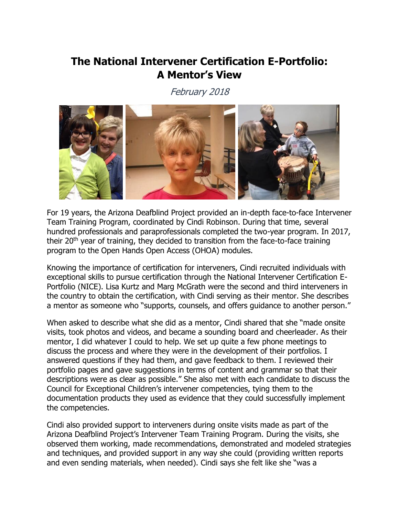## **The National Intervener Certification E-Portfolio: A Mentor's View**

February 2018



For 19 years, the Arizona Deafblind Project provided an in-depth face-to-face Intervener Team Training Program, coordinated by Cindi Robinson. During that time, several hundred professionals and paraprofessionals completed the two-year program. In 2017, their 20<sup>th</sup> year of training, they decided to transition from the face-to-face training program to the Open Hands Open Access (OHOA) modules.

Knowing the importance of certification for interveners, Cindi recruited individuals with exceptional skills to pursue certification through the National Intervener Certification E-Portfolio (NICE). Lisa Kurtz and Marg McGrath were the second and third interveners in the country to obtain the certification, with Cindi serving as their mentor. She describes a mentor as someone who "supports, counsels, and offers guidance to another person."

When asked to describe what she did as a mentor, Cindi shared that she "made onsite visits, took photos and videos, and became a sounding board and cheerleader. As their mentor, I did whatever I could to help. We set up quite a few phone meetings to discuss the process and where they were in the development of their portfolios. I answered questions if they had them, and gave feedback to them. I reviewed their portfolio pages and gave suggestions in terms of content and grammar so that their descriptions were as clear as possible." She also met with each candidate to discuss the Council for Exceptional Children's intervener competencies, tying them to the documentation products they used as evidence that they could successfully implement the competencies.

Cindi also provided support to interveners during onsite visits made as part of the Arizona Deafblind Project's Intervener Team Training Program. During the visits, she observed them working, made recommendations, demonstrated and modeled strategies and techniques, and provided support in any way she could (providing written reports and even sending materials, when needed). Cindi says she felt like she "was a